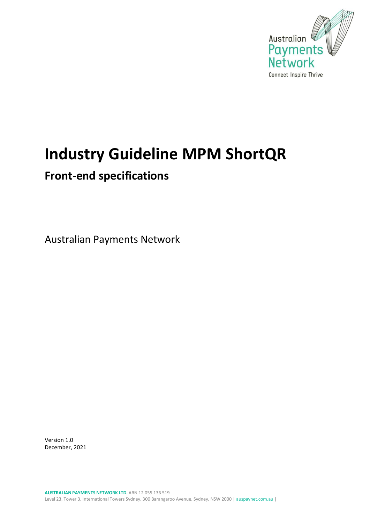

# **Industry Guideline MPM ShortQR**

## **Front-end specifications**

Australian Payments Network

Version 1.0 December, 2021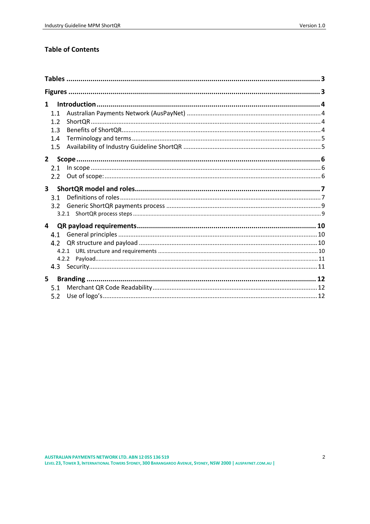### **Table of Contents**

| $\mathbf 1$      |  |
|------------------|--|
| 1.1              |  |
| 1.2 <sub>2</sub> |  |
| 1.3              |  |
| 1.4              |  |
| 1.5              |  |
| $\mathbf{2}$     |  |
| 2.1              |  |
| 2.2              |  |
| $\mathbf{3}$     |  |
| 3.1              |  |
| 3.2              |  |
|                  |  |
| $\overline{4}$   |  |
| 4.1              |  |
| 4.2 <sub>1</sub> |  |
|                  |  |
|                  |  |
|                  |  |
| $5 -$            |  |
| 5.1              |  |
| 5.2              |  |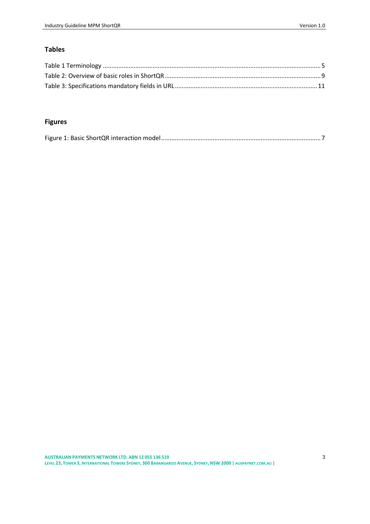### <span id="page-2-0"></span>**Tables**

### <span id="page-2-1"></span>**Figures**

|--|--|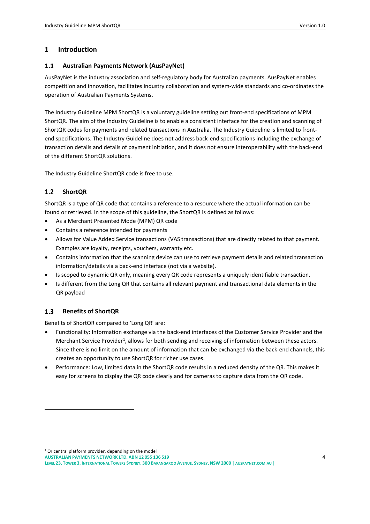### <span id="page-3-0"></span>**1 Introduction**

#### <span id="page-3-1"></span> $1.1$ **Australian Payments Network (AusPayNet)**

AusPayNet is the industry association and self-regulatory body for Australian payments. AusPayNet enables competition and innovation, facilitates industry collaboration and system-wide standards and co-ordinates the operation of Australian Payments Systems.

The Industry Guideline MPM ShortQR is a voluntary guideline setting out front-end specifications of MPM ShortQR. The aim of the Industry Guideline is to enable a consistent interface for the creation and scanning of ShortQR codes for payments and related transactions in Australia. The Industry Guideline is limited to frontend specifications. The Industry Guideline does not address back-end specifications including the exchange of transaction details and details of payment initiation, and it does not ensure interoperability with the back-end of the different ShortQR solutions.

The Industry Guideline ShortQR code is free to use.

### <span id="page-3-2"></span> $1.2$ **ShortQR**

ShortQR is a type of QR code that contains a reference to a resource where the actual information can be found or retrieved. In the scope of this guideline, the ShortQR is defined as follows:

- As a Merchant Presented Mode (MPM) QR code
- Contains a reference intended for payments
- Allows for Value Added Service transactions (VAS transactions) that are directly related to that payment. Examples are loyalty, receipts, vouchers, warranty etc.
- Contains information that the scanning device can use to retrieve payment details and related transaction information/details via a back-end interface (not via a website).
- Is scoped to dynamic QR only, meaning every QR code represents a uniquely identifiable transaction.
- Is different from the Long QR that contains all relevant payment and transactional data elements in the QR payload

### <span id="page-3-3"></span> $1.3$ **Benefits of ShortQR**

Benefits of ShortQR compared to 'Long QR' are:

- Functionality: Information exchange via the back-end interfaces of the Customer Service Provider and the Merchant Service Provider<sup>1</sup>, allows for both sending and receiving of information between these actors. Since there is no limit on the amount of information that can be exchanged via the back-end channels, this creates an opportunity to use ShortQR for richer use cases.
- Performance: Low, limited data in the ShortQR code results in a reduced density of the QR. This makes it easy for screens to display the QR code clearly and for cameras to capture data from the QR code.

 $1$  Or central platform provider, depending on the model

**AUSTRALIANPAYMENTS NETWORK LTD. ABN 12 055 136 519**

LEVEL 23, TOWER 3, INTERNATIONAL TOWERS SYDNEY, 300 BARANGAROO AVENUE, SYDNEY, NSW 2000 | [AUSPAYNET](http://www.auspaynet.com.au/).COM.AU |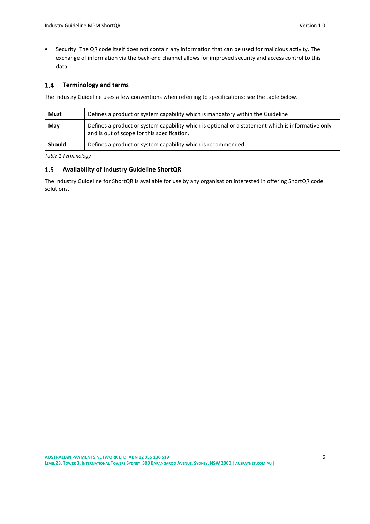• Security: The QR code itself does not contain any information that can be used for malicious activity. The exchange of information via the back-end channel allows for improved security and access control to this data.

#### <span id="page-4-0"></span>**Terminology and terms**   $1.4$

The Industry Guideline uses a few conventions when referring to specifications; see the table below.

| Defines a product or system capability which is mandatory within the Guideline<br>Must |                                                                                                                                                  |  |  |  |  |
|----------------------------------------------------------------------------------------|--------------------------------------------------------------------------------------------------------------------------------------------------|--|--|--|--|
| May                                                                                    | Defines a product or system capability which is optional or a statement which is informative only<br>and is out of scope for this specification. |  |  |  |  |
| Should                                                                                 | Defines a product or system capability which is recommended.                                                                                     |  |  |  |  |

<span id="page-4-2"></span>*Table 1 Terminology*

### <span id="page-4-1"></span>**Availability of Industry Guideline ShortQR**  $1.5$

The Industry Guideline for ShortQR is available for use by any organisation interested in offering ShortQR code solutions.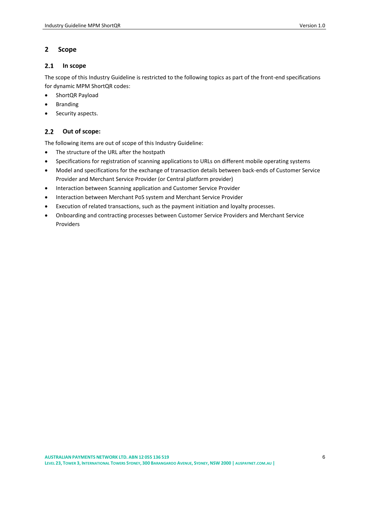### <span id="page-5-0"></span>**2 Scope**

#### <span id="page-5-1"></span> $2.1$ **In scope**

The scope of this Industry Guideline is restricted to the following topics as part of the front-end specifications for dynamic MPM ShortQR codes:

- ShortQR Payload
- **Branding**
- Security aspects.

### <span id="page-5-2"></span> $2.2$ **Out of scope:**

The following items are out of scope of this Industry Guideline:

- The structure of the URL after the hostpath
- Specifications for registration of scanning applications to URLs on different mobile operating systems
- Model and specifications for the exchange of transaction details between back-ends of Customer Service Provider and Merchant Service Provider (or Central platform provider)
- Interaction between Scanning application and Customer Service Provider
- Interaction between Merchant PoS system and Merchant Service Provider
- Execution of related transactions, such as the payment initiation and loyalty processes.
- Onboarding and contracting processes between Customer Service Providers and Merchant Service Providers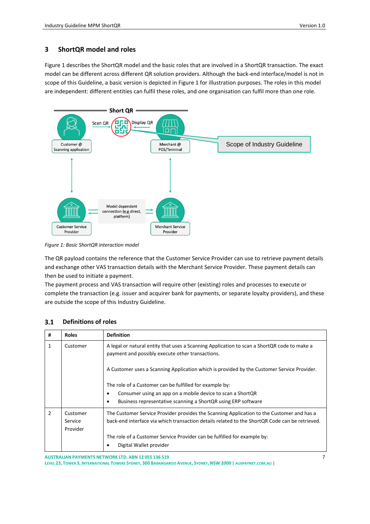### <span id="page-6-0"></span>**3 ShortQR model and roles**

[Figure 1](#page-6-2) describes the ShortQR model and the basic roles that are involved in a ShortQR transaction. The exact model can be different across different QR solution providers. Although the back-end interface/model is not in scope of this Guideline, a basic version is depicted in Figure 1 for illustration purposes. The roles in this model are independent: different entities can fulfil these roles, and one organisation can fulfil more than one role.



<span id="page-6-2"></span>*Figure 1: Basic ShortQR interaction model*

The QR payload contains the reference that the Customer Service Provider can use to retrieve payment details and exchange other VAS transaction details with the Merchant Service Provider. These payment details can then be used to initiate a payment.

The payment process and VAS transaction will require other (existing) roles and processes to execute or complete the transaction (e.g. issuer and acquirer bank for payments, or separate loyalty providers), and these are outside the scope of this Industry Guideline.

### <span id="page-6-1"></span> $3.1$ **Definitions of roles**

| #            | <b>Roles</b> | <b>Definition</b>                                                                                                                               |
|--------------|--------------|-------------------------------------------------------------------------------------------------------------------------------------------------|
| $\mathbf{1}$ | Customer     | A legal or natural entity that uses a Scanning Application to scan a ShortQR code to make a<br>payment and possibly execute other transactions. |
|              |              | A Customer uses a Scanning Application which is provided by the Customer Service Provider.                                                      |
|              |              | The role of a Customer can be fulfilled for example by:                                                                                         |
|              |              | Consumer using an app on a mobile device to scan a ShortQR                                                                                      |
|              |              | Business representative scanning a ShortQR using ERP software                                                                                   |
| 2            | Customer     | The Customer Service Provider provides the Scanning Application to the Customer and has a                                                       |
|              | Service      | back-end interface via which transaction details related to the ShortQR Code can be retrieved.                                                  |
|              | Provider     |                                                                                                                                                 |
|              |              | The role of a Customer Service Provider can be fulfilled for example by:                                                                        |
|              |              | Digital Wallet provider                                                                                                                         |

**AUSTRALIANPAYMENTS NETWORK LTD. ABN 12 055 136 519**

LEVEL 23, TOWER 3, INTERNATIONAL TOWERS SYDNEY, 300 BARANGAROO AVENUE, SYDNEY, NSW 2000 | [AUSPAYNET](http://www.auspaynet.com.au/).COM.AU |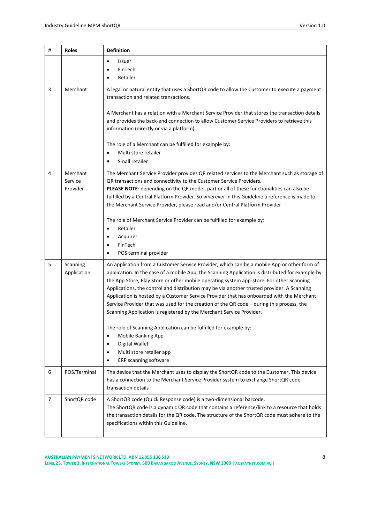| # | <b>Roles</b>                    | <b>Definition</b>                                                                                                                                                                                                                                                                                                                                                                                                                                                                                                                                                                                                                                                                                                                                                                                                                                            |  |  |  |  |
|---|---------------------------------|--------------------------------------------------------------------------------------------------------------------------------------------------------------------------------------------------------------------------------------------------------------------------------------------------------------------------------------------------------------------------------------------------------------------------------------------------------------------------------------------------------------------------------------------------------------------------------------------------------------------------------------------------------------------------------------------------------------------------------------------------------------------------------------------------------------------------------------------------------------|--|--|--|--|
|   |                                 | Issuer<br>$\bullet$<br>FinTech<br>Retailer                                                                                                                                                                                                                                                                                                                                                                                                                                                                                                                                                                                                                                                                                                                                                                                                                   |  |  |  |  |
| 3 | Merchant                        | A legal or natural entity that uses a ShortQR code to allow the Customer to execute a payment<br>transaction and related transactions.<br>A Merchant has a relation with a Merchant Service Provider that stores the transaction details<br>and provides the back-end connection to allow Customer Service Providers to retrieve this<br>information (directly or via a platform).<br>The role of a Merchant can be fulfilled for example by:<br>Multi store retailer<br>Small retailer<br>$\bullet$                                                                                                                                                                                                                                                                                                                                                         |  |  |  |  |
| 4 | Merchant<br>Service<br>Provider | The Merchant Service Provider provides QR related services to the Merchant such as storage of<br>QR transactions and connectivity to the Customer Service Providers.<br>PLEASE NOTE: depending on the QR model, part or all of these functionalities can also be<br>fulfilled by a Central Platform Provider. So wherever in this Guideline a reference is made to<br>the Merchant Service Provider, please read and/or Central Platform Provider<br>The role of Merchant Service Provider can be fulfilled for example by:<br>Retailer<br>$\bullet$<br>Acquirer<br>$\bullet$<br>FinTech<br>POS terminal provider                                                                                                                                                                                                                                            |  |  |  |  |
| 5 | Scanning<br>Application         | An application from a Customer Service Provider, which can be a mobile App or other form of<br>application. In the case of a mobile App, the Scanning Application is distributed for example by<br>the App Store, Play Store or other mobile operating system app-store. For other Scanning<br>Applications, the control and distribution may be via another trusted provider. A Scanning<br>Application is hosted by a Customer Service Provider that has onboarded with the Merchant<br>Service Provider that was used for the creation of the QR code - during this process, the<br>Scanning Application is registered by the Merchant Service Provider.<br>The role of Scanning Application can be fulfilled for example by:<br>Mobile Banking App<br>$\bullet$<br>Digital Wallet<br>$\bullet$<br>Multi store retailer app<br>٠<br>ERP scanning software |  |  |  |  |
| 6 | POS/Terminal                    | The device that the Merchant uses to display the ShortQR code to the Customer. This device<br>has a connection to the Merchant Service Provider system to exchange ShortQR code<br>transaction details                                                                                                                                                                                                                                                                                                                                                                                                                                                                                                                                                                                                                                                       |  |  |  |  |
| 7 | ShortQR code                    | A ShortQR code (Quick Response code) is a two-dimensional barcode.<br>The ShortQR code is a dynamic QR code that contains a reference/link to a resource that holds<br>the transaction details for the QR code. The structure of the ShortQR code must adhere to the<br>specifications within this Guideline.                                                                                                                                                                                                                                                                                                                                                                                                                                                                                                                                                |  |  |  |  |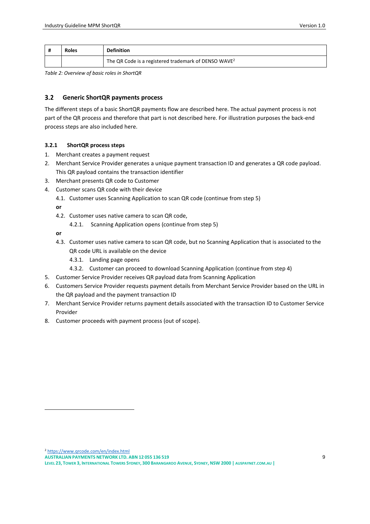|                                                                  | <b>Roles</b> | <b>Definition</b> |
|------------------------------------------------------------------|--------------|-------------------|
| The QR Code is a registered trademark of DENSO WAVE <sup>2</sup> |              |                   |

<span id="page-8-2"></span>*Table 2: Overview of basic roles in ShortQR*

#### <span id="page-8-0"></span> $3.2$ **Generic ShortQR payments process**

The different steps of a basic ShortQR payments flow are described here. The actual payment process is not part of the QR process and therefore that part is not described here. For illustration purposes the back-end process steps are also included here.

### <span id="page-8-1"></span>**3.2.1 ShortQR process steps**

- 1. Merchant creates a payment request
- 2. Merchant Service Provider generates a unique payment transaction ID and generates a QR code payload. This QR payload contains the transaction identifier
- 3. Merchant presents QR code to Customer
- 4. Customer scans QR code with their device
	- 4.1. Customer uses Scanning Application to scan QR code (continue from step 5)

**or**

- 4.2. Customer uses native camera to scan QR code,
	- 4.2.1. Scanning Application opens (continue from step 5)

**or**

- 4.3. Customer uses native camera to scan QR code, but no Scanning Application that is associated to the QR code URL is available on the device
	- 4.3.1. Landing page opens
	- 4.3.2. Customer can proceed to download Scanning Application (continue from step 4)
- 5. Customer Service Provider receives QR payload data from Scanning Application
- 6. Customers Service Provider requests payment details from Merchant Service Provider based on the URL in the QR payload and the payment transaction ID
- 7. Merchant Service Provider returns payment details associated with the transaction ID to Customer Service Provider
- 8. Customer proceeds with payment process (out of scope).

<sup>2</sup> <https://www.qrcode.com/en/index.html>

**AUSTRALIANPAYMENTS NETWORK LTD. ABN 12 055 136 519**

LEVEL 23, TOWER 3, INTERNATIONAL TOWERS SYDNEY, 300 BARANGAROO AVENUE, SYDNEY, NSW 2000 | [AUSPAYNET](http://www.auspaynet.com.au/).COM.AU |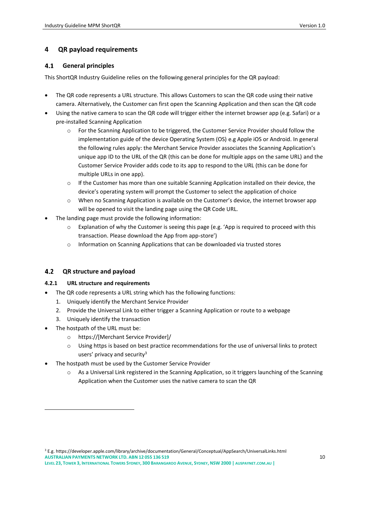### <span id="page-9-0"></span>**4 QR payload requirements**

#### <span id="page-9-1"></span> $4.1$ **General principles**

This ShortQR Industry Guideline relies on the following general principles for the QR payload:

- The QR code represents a URL structure. This allows Customers to scan the QR code using their native camera. Alternatively, the Customer can first open the Scanning Application and then scan the QR code
- Using the native camera to scan the QR code will trigger either the internet browser app (e.g. Safari) or a pre-installed Scanning Application
	- o For the Scanning Application to be triggered, the Customer Service Provider should follow the implementation guide of the device Operating System (OS) e.g Apple iOS or Android. In general the following rules apply: the Merchant Service Provider associates the Scanning Application's unique app ID to the URL of the QR (this can be done for multiple apps on the same URL) and the Customer Service Provider adds code to its app to respond to the URL (this can be done for multiple URLs in one app).
	- o If the Customer has more than one suitable Scanning Application installed on their device, the device's operating system will prompt the Customer to select the application of choice
	- o When no Scanning Application is available on the Customer's device, the internet browser app will be opened to visit the landing page using the QR Code URL.
- The landing page must provide the following information:
	- o Explanation of why the Customer is seeing this page (e.g. 'App is required to proceed with this transaction. Please download the App from app-store')
	- o Information on Scanning Applications that can be downloaded via trusted stores

#### <span id="page-9-2"></span> $4.2$ **QR structure and payload**

### <span id="page-9-3"></span>**4.2.1 URL structure and requirements**

- The QR code represents a URL string which has the following functions:
	- 1. Uniquely identify the Merchant Service Provider
	- 2. Provide the Universal Link to either trigger a Scanning Application or route to a webpage
	- 3. Uniquely identify the transaction
- The hostpath of the URL must be:
	- o https://[Merchant Service Provider]/
	- o Using https is based on best practice recommendations for the use of universal links to protect users' privacy and security<sup>3</sup>
- The hostpath must be used by the Customer Service Provider
	- o As a Universal Link registered in the Scanning Application, so it triggers launching of the Scanning Application when the Customer uses the native camera to scan the QR

**AUSTRALIANPAYMENTS NETWORK LTD. ABN 12 055 136 519** <sup>3</sup> E.g. https://developer.apple.com/library/archive/documentation/General/Conceptual/AppSearch/UniversalLinks.html

LEVEL 23, TOWER 3, INTERNATIONAL TOWERS SYDNEY, 300 BARANGAROO AVENUE, SYDNEY, NSW 2000 | [AUSPAYNET](http://www.auspaynet.com.au/).COM.AU |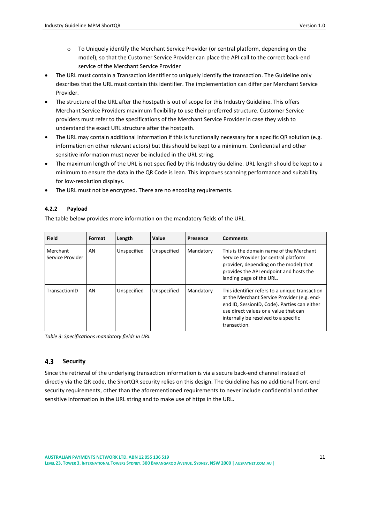- o To Uniquely identify the Merchant Service Provider (or central platform, depending on the model), so that the Customer Service Provider can place the API call to the correct back-end service of the Merchant Service Provider
- The URL must contain a Transaction identifier to uniquely identify the transaction. The Guideline only describes that the URL must contain this identifier. The implementation can differ per Merchant Service Provider.
- The structure of the URL after the hostpath is out of scope for this Industry Guideline. This offers Merchant Service Providers maximum flexibility to use their preferred structure. Customer Service providers must refer to the specifications of the Merchant Service Provider in case they wish to understand the exact URL structure after the hostpath.
- The URL may contain additional information if this is functionally necessary for a specific QR solution (e.g. information on other relevant actors) but this should be kept to a minimum. Confidential and other sensitive information must never be included in the URL string.
- The maximum length of the URL is not specified by this Industry Guideline. URL length should be kept to a minimum to ensure the data in the QR Code is lean. This improves scanning performance and suitability for low-resolution displays.
- The URL must not be encrypted. There are no encoding requirements.

### <span id="page-10-0"></span>**4.2.2 Payload**

The table below provides more information on the mandatory fields of the URL.

| <b>Field</b>                 | Format | Length      | Value       | Presence  | <b>Comments</b>                                                                                                                                                                                                                                |
|------------------------------|--------|-------------|-------------|-----------|------------------------------------------------------------------------------------------------------------------------------------------------------------------------------------------------------------------------------------------------|
| Merchant<br>Service Provider | AN     | Unspecified | Unspecified | Mandatory | This is the domain name of the Merchant<br>Service Provider (or central platform<br>provider, depending on the model) that<br>provides the API endpoint and hosts the<br>landing page of the URL.                                              |
| TransactionID                | AN     | Unspecified | Unspecified | Mandatory | This identifier refers to a unique transaction<br>at the Merchant Service Provider (e.g. end-<br>end ID, SessionID, Code). Parties can either<br>use direct values or a value that can<br>internally be resolved to a specific<br>transaction. |

<span id="page-10-2"></span>*Table 3: Specifications mandatory fields in URL*

#### <span id="page-10-1"></span> $4.3$ **Security**

Since the retrieval of the underlying transaction information is via a secure back-end channel instead of directly via the QR code, the ShortQR security relies on this design. The Guideline has no additional front-end security requirements, other than the aforementioned requirements to never include confidential and other sensitive information in the URL string and to make use of https in the URL.